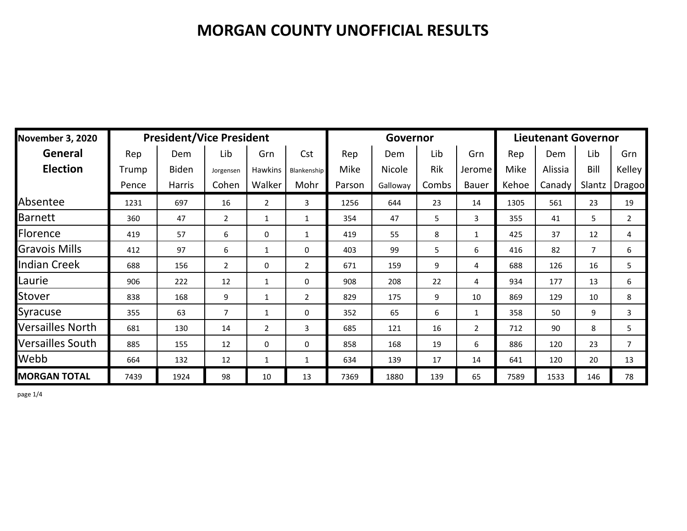| <b>November 3, 2020</b> |       | <b>President/Vice President</b> |                |                |                |        | Governor | <b>Lieutenant Governor</b> |                |       |         |                |                |
|-------------------------|-------|---------------------------------|----------------|----------------|----------------|--------|----------|----------------------------|----------------|-------|---------|----------------|----------------|
| General                 | Rep   | Dem                             | Lib            | Grn            | Cst            | Rep    | Dem      | Lib                        | Grn            | Rep   | Dem     | Lib            | Grn            |
| <b>Election</b>         | Trump | <b>Biden</b>                    | Jorgensen      | Hawkins        | Blankenship    | Mike   | Nicole   | Rik                        | Jerome         | Mike  | Alissia | Bill           | Kelley I       |
|                         | Pence | <b>Harris</b>                   | Cohen          | Walker         | Mohr           | Parson | Galloway | Combs                      | Bauer          | Kehoe | Canady  | Slantz         | Dragoo         |
| Absentee                | 1231  | 697                             | 16             | $\overline{2}$ | 3              | 1256   | 644      | 23                         | 14             | 1305  | 561     | 23             | 19             |
| Barnett                 | 360   | 47                              | $\overline{2}$ | 1              | $\mathbf{1}$   | 354    | 47       | 5                          | 3              | 355   | 41      | 5              | 2              |
| Florence                | 419   | 57                              | 6              | 0              | $\mathbf{1}$   | 419    | 55       | 8                          | $\mathbf{1}$   | 425   | 37      | 12             | 4              |
| <b>Gravois Mills</b>    | 412   | 97                              | 6              | $\mathbf{1}$   | 0              | 403    | 99       | 5                          | 6              | 416   | 82      | $\overline{7}$ | 6              |
| <b>Indian Creek</b>     | 688   | 156                             | $\overline{2}$ | $\mathbf{0}$   | $\overline{2}$ | 671    | 159      | 9                          | 4              | 688   | 126     | 16             | 5              |
| Laurie                  | 906   | 222                             | 12             | $\mathbf{1}$   | 0              | 908    | 208      | 22                         | 4              | 934   | 177     | 13             | 6              |
| Stover                  | 838   | 168                             | 9              | 1              | $\overline{2}$ | 829    | 175      | 9                          | 10             | 869   | 129     | 10             | 8              |
| Syracuse                | 355   | 63                              | $\overline{7}$ | $\mathbf{1}$   | 0              | 352    | 65       | 6                          | $\mathbf{1}$   | 358   | 50      | 9              | 3              |
| <b>Versailles North</b> | 681   | 130                             | 14             | $\overline{2}$ | 3              | 685    | 121      | 16                         | $\overline{2}$ | 712   | 90      | 8              | 5              |
| <b>Versailles South</b> | 885   | 155                             | 12             | 0              | 0              | 858    | 168      | 19                         | 6              | 886   | 120     | 23             | $\overline{7}$ |
| Webb                    | 664   | 132                             | 12             | $\mathbf{1}$   | $\mathbf{1}$   | 634    | 139      | 17                         | 14             | 641   | 120     | 20             | 13             |
| <b>MORGAN TOTAL</b>     | 7439  | 1924                            | 98             | 10             | 13             | 7369   | 1880     | 139                        | 65             | 7589  | 1533    | 146            | 78             |

page 1/4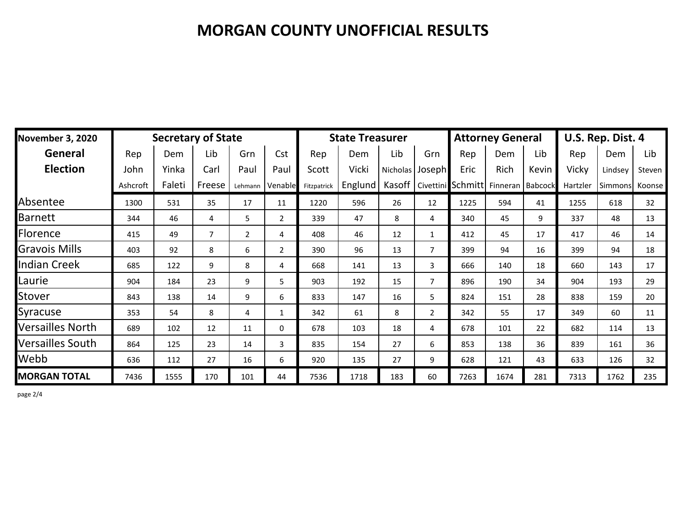| <b>November 3, 2020</b> |          | <b>Secretary of State</b> | <b>State Treasurer</b> |                |                |             |         | <b>Attorney General</b> |                | U.S. Rep. Dist. 4 |                    |       |          |         |        |
|-------------------------|----------|---------------------------|------------------------|----------------|----------------|-------------|---------|-------------------------|----------------|-------------------|--------------------|-------|----------|---------|--------|
| General                 | Rep      | Dem                       | Lib                    | Grn            | Cst            | Rep         | Dem     | Lib                     | Grn            | Rep               | Dem                | Lib   | Rep      | Dem     | Lib    |
| <b>Election</b>         | John     | Yinka                     | Carl                   | Paul           | Paul           | Scott       | Vicki   | Nicholas                | Joseph         | Eric              | Rich               | Kevin | Vicky    | Lindsey | Steven |
|                         | Ashcroft | Faleti                    | Freese                 | Lehmann        | Venable        | Fitzpatrick | Englund | Kasoff                  |                | Civettini Schmitt | Finneran   Babcock |       | Hartzler | Simmons | Koonse |
| Absentee                | 1300     | 531                       | 35                     | 17             | 11             | 1220        | 596     | 26                      | 12             | 1225              | 594                | 41    | 1255     | 618     | 32     |
| <b>Barnett</b>          | 344      | 46                        | 4                      | 5              | $\overline{2}$ | 339         | 47      | 8                       | 4              | 340               | 45                 | 9     | 337      | 48      | 13     |
| Florence                | 415      | 49                        | $\overline{7}$         | $\overline{2}$ | 4              | 408         | 46      | 12                      | $\mathbf{1}$   | 412               | 45                 | 17    | 417      | 46      | 14     |
| <b>Gravois Mills</b>    | 403      | 92                        | 8                      | 6              | $\overline{2}$ | 390         | 96      | 13                      | $\overline{7}$ | 399               | 94                 | 16    | 399      | 94      | 18     |
| <b>Indian Creek</b>     | 685      | 122                       | 9                      | 8              | 4              | 668         | 141     | 13                      | $\overline{3}$ | 666               | 140                | 18    | 660      | 143     | 17     |
| Laurie                  | 904      | 184                       | 23                     | 9              | 5              | 903         | 192     | 15                      | $\overline{7}$ | 896               | 190                | 34    | 904      | 193     | 29     |
| Stover                  | 843      | 138                       | 14                     | 9              | 6              | 833         | 147     | 16                      | 5              | 824               | 151                | 28    | 838      | 159     | 20     |
| Syracuse                | 353      | 54                        | 8                      | 4              | $\mathbf{1}$   | 342         | 61      | 8                       | $\overline{2}$ | 342               | 55                 | 17    | 349      | 60      | 11     |
| Versailles North        | 689      | 102                       | 12                     | 11             | $\mathbf 0$    | 678         | 103     | 18                      | 4              | 678               | 101                | 22    | 682      | 114     | 13     |
| Versailles South        | 864      | 125                       | 23                     | 14             | 3              | 835         | 154     | 27                      | 6              | 853               | 138                | 36    | 839      | 161     | 36     |
| Webb                    | 636      | 112                       | 27                     | 16             | 6              | 920         | 135     | 27                      | 9              | 628               | 121                | 43    | 633      | 126     | 32     |
| <b>MORGAN TOTAL</b>     | 7436     | 1555                      | 170                    | 101            | 44             | 7536        | 1718    | 183                     | 60             | 7263              | 1674               | 281   | 7313     | 1762    | 235    |

page 2/4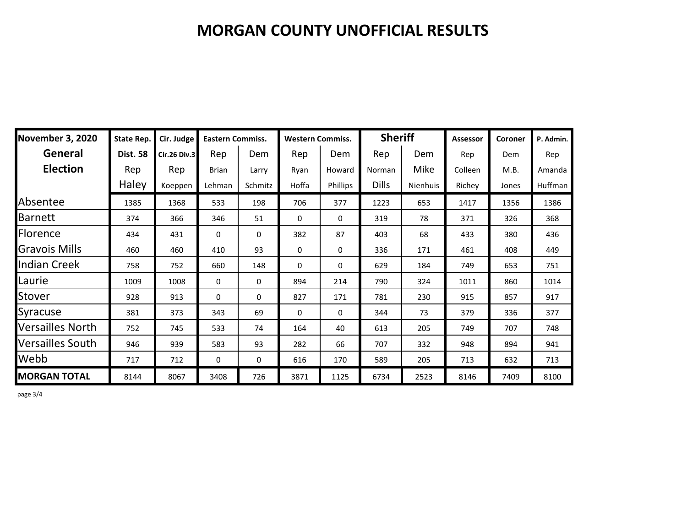| <b>November 3, 2020</b> | <b>State Rep.</b> | Cir. Judge          | <b>Eastern Commiss.</b> |         | <b>Western Commiss.</b> |              | <b>Sheriff</b> |          | <b>Assessor</b> | Coroner | P. Admin. |
|-------------------------|-------------------|---------------------|-------------------------|---------|-------------------------|--------------|----------------|----------|-----------------|---------|-----------|
| General                 | <b>Dist. 58</b>   | <b>Cir.26 Div.3</b> | Rep                     | Dem     | Rep                     | Dem          | Rep            | Dem      | Rep             | Dem     | Rep       |
| <b>Election</b>         | Rep               | Rep                 | <b>Brian</b>            | Larry   | Ryan                    | Howard       | Norman         | Mike     | Colleen         | M.B.    | Amanda    |
|                         | Haley             | Koeppen             | Lehman                  | Schmitz | Hoffa                   | Phillips     | <b>Dills</b>   | Nienhuis | Richey          | Jones   | Huffman   |
| Absentee                | 1385              | 1368                | 533                     | 198     | 706                     | 377          | 1223           | 653      | 1417            | 1356    | 1386      |
| <b>Barnett</b>          | 374               | 366                 | 346                     | 51      | 0                       | 0            | 319            | 78       | 371             | 326     | 368       |
| Florence                | 434               | 431                 | 0                       | 0       | 382                     | 87           | 403            | 68       | 433             | 380     | 436       |
| Gravois Mills           | 460               | 460                 | 410                     | 93      | 0                       | 0            | 336            | 171      | 461             | 408     | 449       |
| <b>Indian Creek</b>     | 758               | 752                 | 660                     | 148     | $\mathbf{0}$            | $\mathbf{0}$ | 629            | 184      | 749             | 653     | 751       |
| Laurie                  | 1009              | 1008                | 0                       | 0       | 894                     | 214          | 790            | 324      | 1011            | 860     | 1014      |
| Stover                  | 928               | 913                 | 0                       | 0       | 827                     | 171          | 781            | 230      | 915             | 857     | 917       |
| Syracuse                | 381               | 373                 | 343                     | 69      | 0                       | 0            | 344            | 73       | 379             | 336     | 377       |
| Versailles North        | 752               | 745                 | 533                     | 74      | 164                     | 40           | 613            | 205      | 749             | 707     | 748       |
| Versailles South        | 946               | 939                 | 583                     | 93      | 282                     | 66           | 707            | 332      | 948             | 894     | 941       |
| Webb                    | 717               | 712                 | 0                       | 0       | 616                     | 170          | 589            | 205      | 713             | 632     | 713       |
| <b>MORGAN TOTAL</b>     | 8144              | 8067                | 3408                    | 726     | 3871                    | 1125         | 6734           | 2523     | 8146            | 7409    | 8100      |

page 3/4